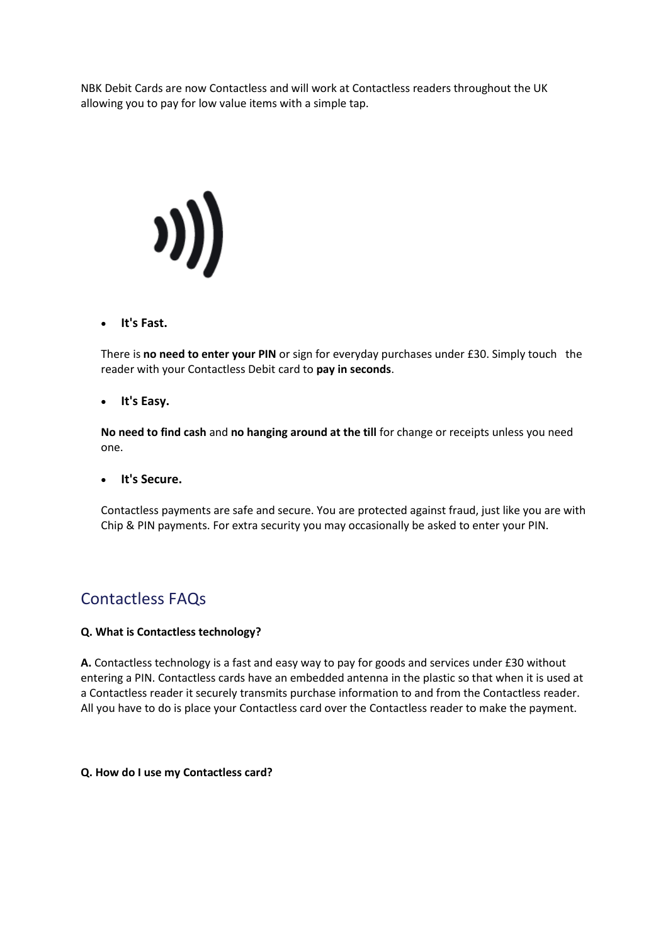NBK Debit Cards are now Contactless and will work at Contactless readers throughout the UK allowing you to pay for low value items with a simple tap.



#### **It's Fast.**

There is **no need to enter your PIN** or sign for everyday purchases under £30. Simply touch the reader with your Contactless Debit card to **pay in seconds**.

#### **It's Easy.**

**No need to find cash** and **no hanging around at the till** for change or receipts unless you need one.

#### **It's Secure.**

Contactless payments are safe and secure. You are protected against fraud, just like you are with Chip & PIN payments. For extra security you may occasionally be asked to enter your PIN.

# Contactless FAQs

#### **Q. What is Contactless technology?**

**A.** Contactless technology is a fast and easy way to pay for goods and services under £30 without entering a PIN. Contactless cards have an embedded antenna in the plastic so that when it is used at a Contactless reader it securely transmits purchase information to and from the Contactless reader. All you have to do is place your Contactless card over the Contactless reader to make the payment.

#### **Q. How do I use my Contactless card?**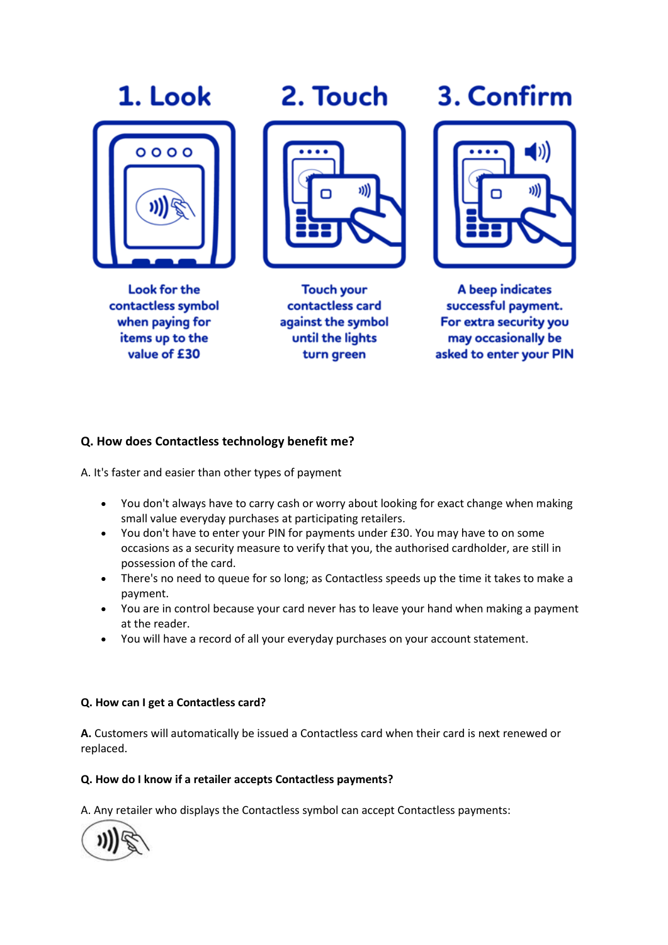# 1. Look



**Look for the** contactless symbol when paying for items up to the value of £30

2. Touch



**Touch your** contactless card against the symbol until the lights turn green

# 3. Confirm



A beep indicates successful payment. For extra security you may occasionally be asked to enter your PIN

# **Q. How does Contactless technology benefit me?**

A. It's faster and easier than other types of payment

- You don't always have to carry cash or worry about looking for exact change when making small value everyday purchases at participating retailers.
- You don't have to enter your PIN for payments under £30. You may have to on some occasions as a security measure to verify that you, the authorised cardholder, are still in possession of the card.
- There's no need to queue for so long; as Contactless speeds up the time it takes to make a payment.
- You are in control because your card never has to leave your hand when making a payment at the reader.
- You will have a record of all your everyday purchases on your account statement.

# **Q. How can I get a Contactless card?**

**A.** Customers will automatically be issued a Contactless card when their card is next renewed or replaced.

# **Q. How do I know if a retailer accepts Contactless payments?**

A. Any retailer who displays the Contactless symbol can accept Contactless payments:

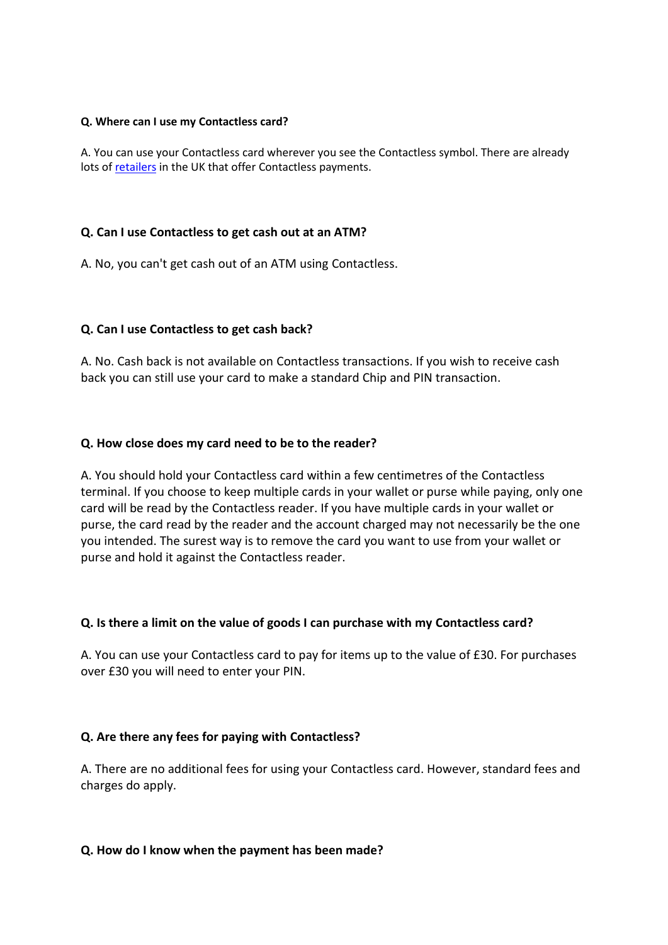#### **Q. Where can I use my Contactless card?**

A. You can use your Contactless card wherever you see the Contactless symbol. There are already lots o[f retailers](https://www.visa.co.uk/products/visa-contactless/) in the UK that offer Contactless payments.

#### **Q. Can I use Contactless to get cash out at an ATM?**

A. No, you can't get cash out of an ATM using Contactless.

#### **Q. Can I use Contactless to get cash back?**

A. No. Cash back is not available on Contactless transactions. If you wish to receive cash back you can still use your card to make a standard Chip and PIN transaction.

#### **Q. How close does my card need to be to the reader?**

A. You should hold your Contactless card within a few centimetres of the Contactless terminal. If you choose to keep multiple cards in your wallet or purse while paying, only one card will be read by the Contactless reader. If you have multiple cards in your wallet or purse, the card read by the reader and the account charged may not necessarily be the one you intended. The surest way is to remove the card you want to use from your wallet or purse and hold it against the Contactless reader.

#### **Q. Is there a limit on the value of goods I can purchase with my Contactless card?**

A. You can use your Contactless card to pay for items up to the value of £30. For purchases over £30 you will need to enter your PIN.

# **Q. Are there any fees for paying with Contactless?**

A. There are no additional fees for using your Contactless card. However, standard fees and charges do apply.

#### **Q. How do I know when the payment has been made?**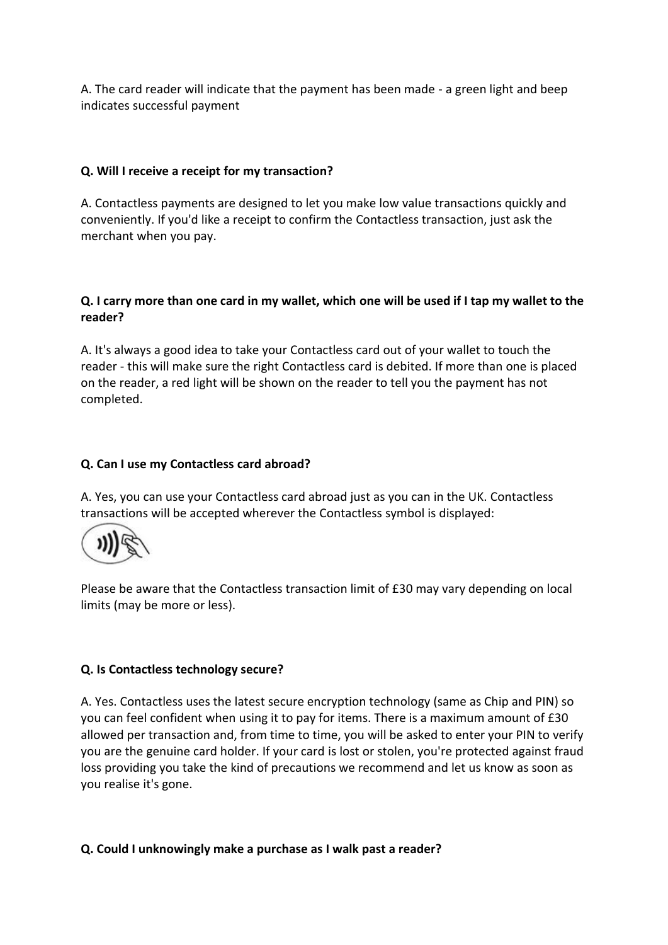A. The card reader will indicate that the payment has been made - a green light and beep indicates successful payment

# **Q. Will I receive a receipt for my transaction?**

A. Contactless payments are designed to let you make low value transactions quickly and conveniently. If you'd like a receipt to confirm the Contactless transaction, just ask the merchant when you pay.

# **Q. I carry more than one card in my wallet, which one will be used if I tap my wallet to the reader?**

A. It's always a good idea to take your Contactless card out of your wallet to touch the reader - this will make sure the right Contactless card is debited. If more than one is placed on the reader, a red light will be shown on the reader to tell you the payment has not completed.

# **Q. Can I use my Contactless card abroad?**

A. Yes, you can use your Contactless card abroad just as you can in the UK. Contactless transactions will be accepted wherever the Contactless symbol is displayed:



Please be aware that the Contactless transaction limit of £30 may vary depending on local limits (may be more or less).

# **Q. Is Contactless technology secure?**

A. Yes. Contactless uses the latest secure encryption technology (same as Chip and PIN) so you can feel confident when using it to pay for items. There is a maximum amount of £30 allowed per transaction and, from time to time, you will be asked to enter your PIN to verify you are the genuine card holder. If your card is lost or stolen, you're protected against fraud loss providing you take the kind of precautions we recommend and let us know as soon as you realise it's gone.

# **Q. Could I unknowingly make a purchase as I walk past a reader?**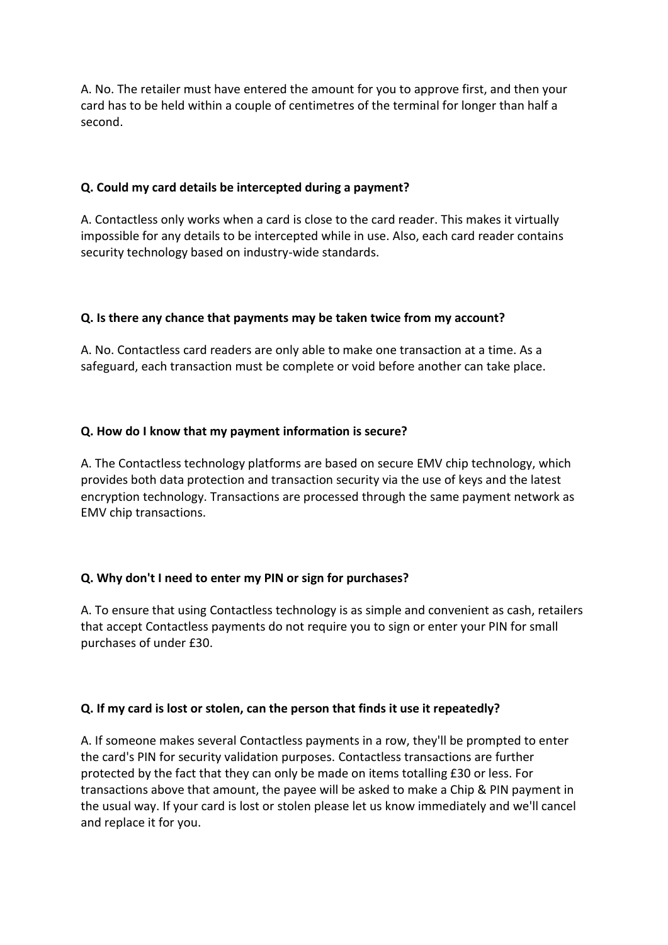A. No. The retailer must have entered the amount for you to approve first, and then your card has to be held within a couple of centimetres of the terminal for longer than half a second.

# **Q. Could my card details be intercepted during a payment?**

A. Contactless only works when a card is close to the card reader. This makes it virtually impossible for any details to be intercepted while in use. Also, each card reader contains security technology based on industry-wide standards.

# **Q. Is there any chance that payments may be taken twice from my account?**

A. No. Contactless card readers are only able to make one transaction at a time. As a safeguard, each transaction must be complete or void before another can take place.

# **Q. How do I know that my payment information is secure?**

A. The Contactless technology platforms are based on secure EMV chip technology, which provides both data protection and transaction security via the use of keys and the latest encryption technology. Transactions are processed through the same payment network as EMV chip transactions.

# **Q. Why don't I need to enter my PIN or sign for purchases?**

A. To ensure that using Contactless technology is as simple and convenient as cash, retailers that accept Contactless payments do not require you to sign or enter your PIN for small purchases of under £30.

# **Q. If my card is lost or stolen, can the person that finds it use it repeatedly?**

A. If someone makes several Contactless payments in a row, they'll be prompted to enter the card's PIN for security validation purposes. Contactless transactions are further protected by the fact that they can only be made on items totalling £30 or less. For transactions above that amount, the payee will be asked to make a Chip & PIN payment in the usual way. If your card is lost or stolen please let us know immediately and we'll cancel and replace it for you.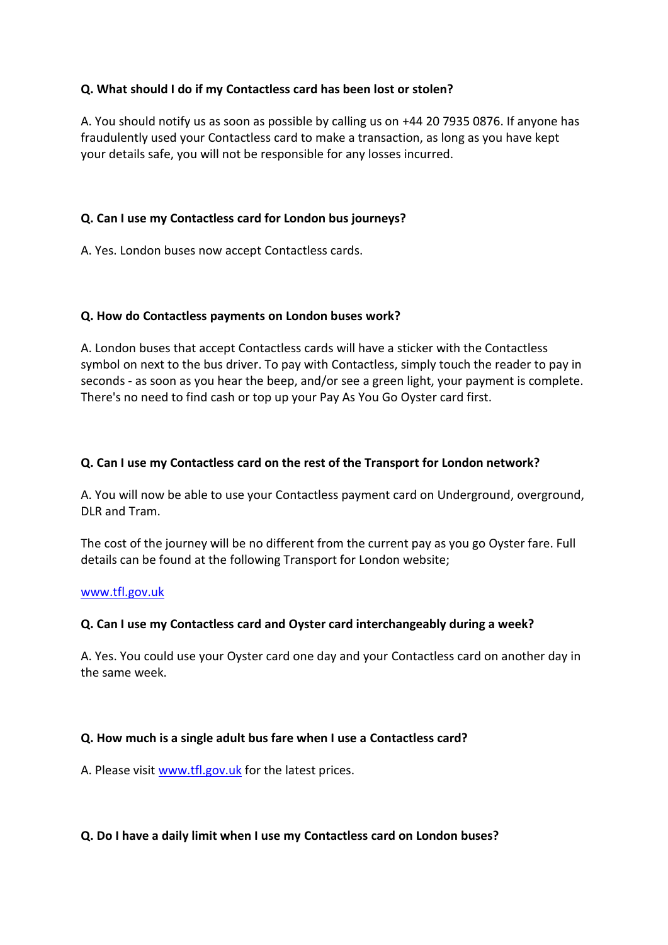# **Q. What should I do if my Contactless card has been lost or stolen?**

A. You should notify us as soon as possible by calling us on +44 20 7935 0876. If anyone has fraudulently used your Contactless card to make a transaction, as long as you have kept your details safe, you will not be responsible for any losses incurred.

# **Q. Can I use my Contactless card for London bus journeys?**

A. Yes. London buses now accept Contactless cards.

# **Q. How do Contactless payments on London buses work?**

A. London buses that accept Contactless cards will have a sticker with the Contactless symbol on next to the bus driver. To pay with Contactless, simply touch the reader to pay in seconds - as soon as you hear the beep, and/or see a green light, your payment is complete. There's no need to find cash or top up your Pay As You Go Oyster card first.

# **Q. Can I use my Contactless card on the rest of the Transport for London network?**

A. You will now be able to use your Contactless payment card on Underground, overground, DLR and Tram.

The cost of the journey will be no different from the current pay as you go Oyster fare. Full details can be found at the following Transport for London website;

#### [www.tfl.gov.uk](http://www.hsbc.co.uk/1/2/popups/tfl)

# **Q. Can I use my Contactless card and Oyster card interchangeably during a week?**

A. Yes. You could use your Oyster card one day and your Contactless card on another day in the same week.

#### **Q. How much is a single adult bus fare when I use a Contactless card?**

A. Please visit [www.tfl.gov.uk](http://www.hsbc.co.uk/1/2/popups/tfl) for the latest prices.

#### **Q. Do I have a daily limit when I use my Contactless card on London buses?**